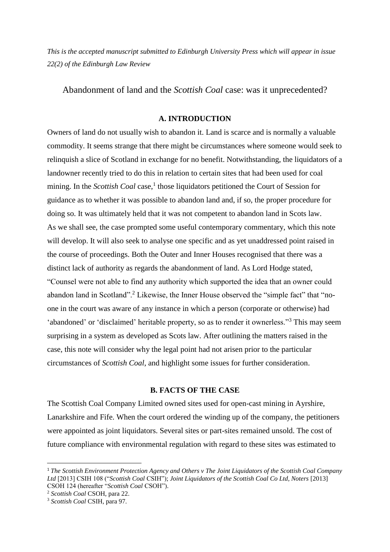*This is the accepted manuscript submitted to Edinburgh University Press which will appear in issue 22(2) of the Edinburgh Law Review*

Abandonment of land and the *Scottish Coal* case: was it unprecedented?

## **A. INTRODUCTION**

Owners of land do not usually wish to abandon it. Land is scarce and is normally a valuable commodity. It seems strange that there might be circumstances where someone would seek to relinquish a slice of Scotland in exchange for no benefit. Notwithstanding, the liquidators of a landowner recently tried to do this in relation to certain sites that had been used for coal mining. In the *Scottish Coal* case,<sup>1</sup> those liquidators petitioned the Court of Session for guidance as to whether it was possible to abandon land and, if so, the proper procedure for doing so. It was ultimately held that it was not competent to abandon land in Scots law. As we shall see, the case prompted some useful contemporary commentary, which this note will develop. It will also seek to analyse one specific and as yet unaddressed point raised in the course of proceedings. Both the Outer and Inner Houses recognised that there was a distinct lack of authority as regards the abandonment of land. As Lord Hodge stated, "Counsel were not able to find any authority which supported the idea that an owner could abandon land in Scotland".<sup>2</sup> Likewise, the Inner House observed the "simple fact" that "noone in the court was aware of any instance in which a person (corporate or otherwise) had 'abandoned' or 'disclaimed' heritable property, so as to render it ownerless."<sup>3</sup> This may seem surprising in a system as developed as Scots law. After outlining the matters raised in the case, this note will consider why the legal point had not arisen prior to the particular circumstances of *Scottish Coal*, and highlight some issues for further consideration.

### **B. FACTS OF THE CASE**

The Scottish Coal Company Limited owned sites used for open-cast mining in Ayrshire, Lanarkshire and Fife. When the court ordered the winding up of the company, the petitioners were appointed as joint liquidators. Several sites or part-sites remained unsold. The cost of future compliance with environmental regulation with regard to these sites was estimated to

 $\overline{a}$ 

<sup>1</sup> *The Scottish Environment Protection Agency and Others v The Joint Liquidators of the Scottish Coal Company Ltd* [2013] CSIH 108 ("*Scottish Coal* CSIH"); *Joint Liquidators of the Scottish Coal Co Ltd, Noters* [2013] CSOH 124 (hereafter "*Scottish Coal* CSOH").

<sup>2</sup> *Scottish Coal* CSOH, para 22.

<sup>3</sup> *Scottish Coal* CSIH, para 97.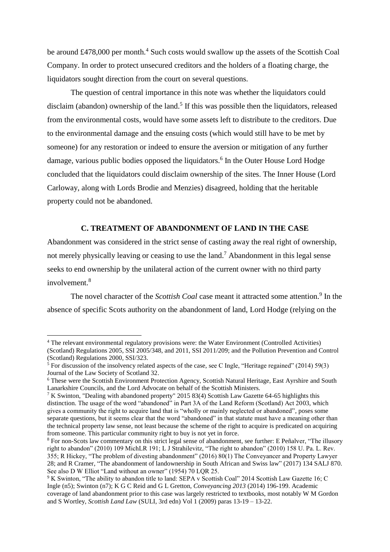be around £478,000 per month.<sup>4</sup> Such costs would swallow up the assets of the Scottish Coal Company. In order to protect unsecured creditors and the holders of a floating charge, the liquidators sought direction from the court on several questions.

The question of central importance in this note was whether the liquidators could disclaim (abandon) ownership of the land.<sup>5</sup> If this was possible then the liquidators, released from the environmental costs, would have some assets left to distribute to the creditors. Due to the environmental damage and the ensuing costs (which would still have to be met by someone) for any restoration or indeed to ensure the aversion or mitigation of any further damage, various public bodies opposed the liquidators. 6 In the Outer House Lord Hodge concluded that the liquidators could disclaim ownership of the sites. The Inner House (Lord Carloway, along with Lords Brodie and Menzies) disagreed, holding that the heritable property could not be abandoned.

### **C. TREATMENT OF ABANDONMENT OF LAND IN THE CASE**

Abandonment was considered in the strict sense of casting away the real right of ownership, not merely physically leaving or ceasing to use the land.<sup>7</sup> Abandonment in this legal sense seeks to end ownership by the unilateral action of the current owner with no third party involvement $8$ 

The novel character of the *Scottish Coal* case meant it attracted some attention.<sup>9</sup> In the absence of specific Scots authority on the abandonment of land, Lord Hodge (relying on the

**.** 

<sup>4</sup> The relevant environmental regulatory provisions were: the Water Environment (Controlled Activities) (Scotland) Regulations 2005, SSI 2005/348, and 2011, SSI 2011/209; and the Pollution Prevention and Control (Scotland) Regulations 2000, SSI/323.

<sup>&</sup>lt;sup>5</sup> For discussion of the insolvency related aspects of the case, see C Ingle, "Heritage regained" (2014) 59(3) Journal of the Law Society of Scotland 32.

<sup>6</sup> These were the Scottish Environment Protection Agency, Scottish Natural Heritage, East Ayrshire and South Lanarkshire Councils, and the Lord Advocate on behalf of the Scottish Ministers.

<sup>&</sup>lt;sup>7</sup> K Swinton, "Dealing with abandoned property" 2015 83(4) Scottish Law Gazette 64-65 highlights this distinction. The usage of the word "abandoned" in Part 3A of the Land Reform (Scotland) Act 2003, which gives a community the right to acquire land that is "wholly or mainly neglected or abandoned", poses some separate questions, but it seems clear that the word "abandoned" in that statute must have a meaning other than the technical property law sense, not least because the scheme of the right to acquire is predicated on acquiring from someone. This particular community right to buy is not yet in force.

<sup>&</sup>lt;sup>8</sup> For non-Scots law commentary on this strict legal sense of abandonment, see further: E Peñalver, "The illusory right to abandon" (2010) 109 MichLR 191; L J Strahilevitz, "The right to abandon" (2010) 158 U. Pa. L. Rev. 355; R Hickey, "The problem of divesting abandonment" (2016) 80(1) The Conveyancer and Property Lawyer 28; and R Cramer, "The abandonment of landownership in South African and Swiss law" (2017) 134 SALJ 870. See also D W Elliot "Land without an owner" (1954) 70 LOR 25.

<sup>&</sup>lt;sup>9</sup> K Swinton, "The ability to abandon title to land: SEPA v Scottish Coal" 2014 Scottish Law Gazette 16; C Ingle (n5); Swinton (n7); K G C Reid and G L Gretton, *Conveyancing 2013* (2014) 196-199. Academic coverage of land abandonment prior to this case was largely restricted to textbooks, most notably W M Gordon and S Wortley, *Scottish Land Law* (SULI, 3rd edn) Vol 1 (2009) paras 13-19 – 13-22.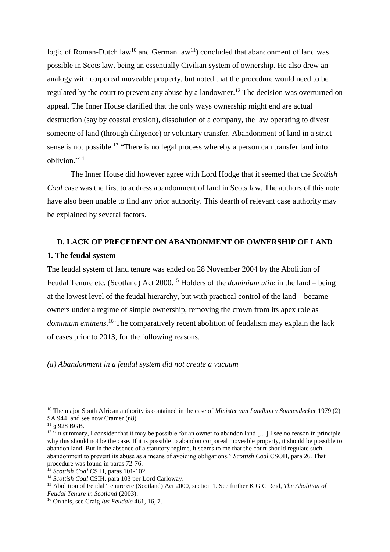logic of Roman-Dutch law<sup>10</sup> and German law<sup>11</sup>) concluded that abandonment of land was possible in Scots law, being an essentially Civilian system of ownership. He also drew an analogy with corporeal moveable property, but noted that the procedure would need to be regulated by the court to prevent any abuse by a landowner.<sup>12</sup> The decision was overturned on appeal. The Inner House clarified that the only ways ownership might end are actual destruction (say by coastal erosion), dissolution of a company, the law operating to divest someone of land (through diligence) or voluntary transfer. Abandonment of land in a strict sense is not possible.<sup>13</sup> "There is no legal process whereby a person can transfer land into oblivion." 14

The Inner House did however agree with Lord Hodge that it seemed that the *Scottish Coal* case was the first to address abandonment of land in Scots law. The authors of this note have also been unable to find any prior authority. This dearth of relevant case authority may be explained by several factors.

# **D. LACK OF PRECEDENT ON ABANDONMENT OF OWNERSHIP OF LAND 1. The feudal system**

The feudal system of land tenure was ended on 28 November 2004 by the Abolition of Feudal Tenure etc. (Scotland) Act 2000.<sup>15</sup> Holders of the *dominium utile* in the land – being at the lowest level of the feudal hierarchy, but with practical control of the land – became owners under a regime of simple ownership, removing the crown from its apex role as *dominium eminens*. <sup>16</sup> The comparatively recent abolition of feudalism may explain the lack of cases prior to 2013, for the following reasons.

*(a) Abandonment in a feudal system did not create a vacuum* 

**.** 

<sup>10</sup> The major South African authority is contained in the case of *Minister van Landbou v Sonnendecker* 1979 (2) SA 944, and see now Cramer (n8).

 $11 \S 928 BGB.$ 

<sup>&</sup>lt;sup>12 "In summary, I consider that it may be possible for an owner to abandon land [...] I see no reason in principle</sup> why this should not be the case. If it is possible to abandon corporeal moveable property, it should be possible to abandon land. But in the absence of a statutory regime, it seems to me that the court should regulate such abandonment to prevent its abuse as a means of avoiding obligations." *Scottish Coal* CSOH, para 26. That procedure was found in paras 72-76.

<sup>13</sup> *Scottish Coal* CSIH, paras 101-102.

<sup>14</sup> *Scottish Coal* CSIH, para 103 per Lord Carloway.

<sup>15</sup> Abolition of Feudal Tenure etc (Scotland) Act 2000, section 1. See further K G C Reid, *The Abolition of Feudal Tenure in Scotland* (2003).

<sup>16</sup> On this, see Craig *Ius Feudale* 461, 16, 7.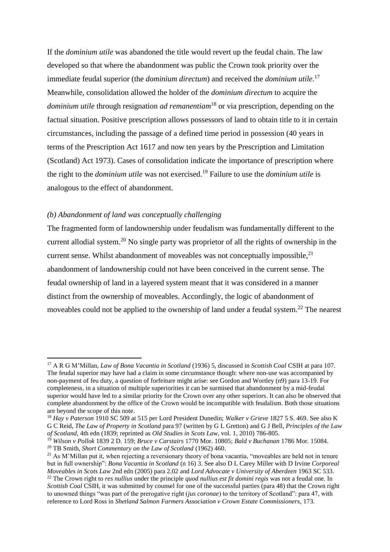If the *dominium utile* was abandoned the title would revert up the feudal chain. The law developed so that where the abandonment was public the Crown took priority over the immediate feudal superior (the *dominium directum*) and received the *dominium utile*. 17 Meanwhile, consolidation allowed the holder of the *dominium directum* to acquire the *dominium utile* through resignation *ad remanentiam*<sup>18</sup> or via prescription, depending on the factual situation. Positive prescription allows possessors of land to obtain title to it in certain circumstances, including the passage of a defined time period in possession (40 years in terms of the Prescription Act 1617 and now ten years by the Prescription and Limitation (Scotland) Act 1973). Cases of consolidation indicate the importance of prescription where the right to the *dominium utile* was not exercised.<sup>19</sup> Failure to use the *dominium utile* is analogous to the effect of abandonment*.*

### *(b) Abandonment of land was conceptually challenging*

**.** 

The fragmented form of landownership under feudalism was fundamentally different to the current allodial system.<sup>20</sup> No single party was proprietor of all the rights of ownership in the current sense. Whilst abandonment of moveables was not conceptually impossible, $^{21}$ abandonment of landownership could not have been conceived in the current sense. The feudal ownership of land in a layered system meant that it was considered in a manner distinct from the ownership of moveables. Accordingly, the logic of abandonment of moveables could not be applied to the ownership of land under a feudal system.<sup>22</sup> The nearest

<sup>17</sup> A R G M'Millan, *Law of Bona Vacantia in Scotland* (1936) 5, discussed in *Scottish Coal* CSIH at para 107. The feudal superior may have had a claim in some circumstance though: where non-use was accompanied by non-payment of feu duty, a question of forfeiture might arise: see Gordon and Wortley (n9) para 13-19. For completeness, in a situation of multiple superiorities it can be surmised that abandonment by a mid-feudal superior would have led to a similar priority for the Crown over any other superiors. It can also be observed that complete abandonment by the office of the Crown would be incompatible with feudalism. Both those situations are beyond the scope of this note.

<sup>18</sup> *Hay v Paterson* 1910 SC 509 at 515 per Lord President Dunedin; *Walker v Grieve* 1827 5 S. 469. See also K G C Reid, *The Law of Property in Scotland* para 97 (written by G L Gretton) and G J Bell, *Principles of the Law of Scotland*, 4th edn (1839; reprinted as *Old Studies in Scots Law*, vol. 1, 2010) 786-805.

<sup>19</sup> *Wilson v Pollok* 1839 2 D. 159; *Bruce v Carstairs* 1770 Mor. 10805; *Bald v Buchanan* 1786 Mor. 15084. <sup>20</sup> TB Smith, *Short Commentary on the Law of Scotland* (1962) 460.

<sup>&</sup>lt;sup>21</sup> As M'Millan put it, when rejecting a reversionary theory of bona vacantia, "moveables are held not in tenure but in full ownership": *Bona Vacantia in Scotland* (n 16) 3. See also D L Carey Miller with D Irvine *Corporeal Moveables in Scots Law* 2nd edn (2005) para 2.02 and *Lord Advocate v University of Aberdeen* 1963 SC 533.

<sup>22</sup> The Crown right to *res nullius* under the principle *quod nullius est fit domini regis* was not a feudal one. In *Scottish Coal* CSIH, it was submitted by counsel for one of the successful parties (para 48) that the Crown right to unowned things "was part of the prerogative right (*jus coronae*) to the territory of Scotland": para 47, with reference to Lord Ross in *Shetland Salmon Farmers Association v Crown Estate Commissioners*, 173.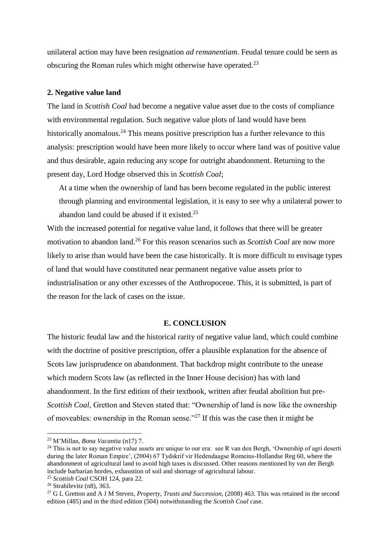unilateral action may have been resignation *ad remanentiam*. Feudal tenure could be seen as obscuring the Roman rules which might otherwise have operated.<sup>23</sup>

#### **2. Negative value land**

The land in *Scottish Coal* had become a negative value asset due to the costs of compliance with environmental regulation. Such negative value plots of land would have been historically anomalous.<sup>24</sup> This means positive prescription has a further relevance to this analysis: prescription would have been more likely to occur where land was of positive value and thus desirable, again reducing any scope for outright abandonment. Returning to the present day, Lord Hodge observed this in *Scottish Coal*;

At a time when the ownership of land has been become regulated in the public interest through planning and environmental legislation, it is easy to see why a unilateral power to abandon land could be abused if it existed. $25$ 

With the increased potential for negative value land, it follows that there will be greater motivation to abandon land.<sup>26</sup> For this reason scenarios such as *Scottish Coal* are now more likely to arise than would have been the case historically. It is more difficult to envisage types of land that would have constituted near permanent negative value assets prior to industrialisation or any other excesses of the Anthropocene. This, it is submitted, is part of the reason for the lack of cases on the issue.

### **E. CONCLUSION**

The historic feudal law and the historical rarity of negative value land, which could combine with the doctrine of positive prescription, offer a plausible explanation for the absence of Scots law jurisprudence on abandonment. That backdrop might contribute to the unease which modern Scots law (as reflected in the Inner House decision) has with land abandonment. In the first edition of their textbook, written after feudal abolition but pre-*Scottish Coal*, Gretton and Steven stated that: "Ownership of land is now like the ownership of moveables: ownership in the Roman sense."<sup>27</sup> If this was the case then it might be

 $\overline{a}$ 

<sup>23</sup> M'Millan, *Bona Vacantia* (n17) 7.

 $24$  This is not to say negative value assets are unique to our era: see R van den Bergh, 'Ownership of agri deserti during the later Roman Empire', (2004) 67 Tydskrif vir Hedendaagse Romeins-Hollandse Reg 60, where the abandonment of agricultural land to avoid high taxes is discussed. Other reasons mentioned by van der Bergh include barbarian hordes, exhaustion of soil and shortage of agricultural labour.

<sup>25</sup> *Scottish Coal* CSOH 124, para 22.

 $26$  Strahilevitz (n8), 363.

<sup>27</sup> G L Gretton and A J M Steven, *Property, Trusts and Succession*, (2008) 463. This was retained in the second edition (485) and in the third edition (504) notwithstanding the *Scottish Coal* case.